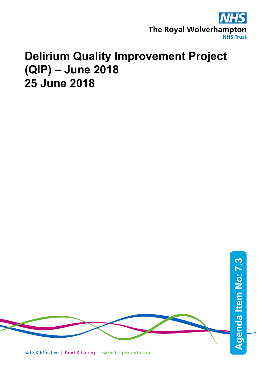

# **Delirium Quality Improvement Project (QIP) – June 2018 25 June 2018**

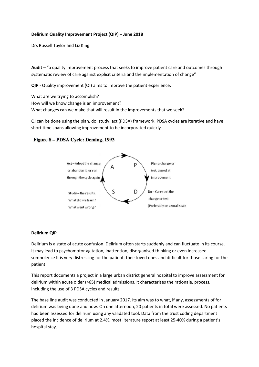## **Delirium Quality Improvement Project (QIP) – June 2018**

Drs Russell Taylor and Liz King

**Audit** – "a quality improvement process that seeks to improve patient care and outcomes through systematic review of care against explicit criteria and the implementation of change"

**QIP** - Quality improvement (QI) aims to improve the patient experience.

What are we trying to accomplish? How will we know change is an improvement? What changes can we make that will result in the improvements that we seek?

QI can be done using the plan, do, study, act (PDSA) framework. PDSA cycles are iterative and have short time spans allowing improvement to be incorporated quickly

## Figure 8 – PDSA Cycle: Deming, 1993



#### **Delirium QIP**

Delirium is a state of acute confusion. Delirium often starts suddenly and can fluctuate in its course. It may lead to psychomotor agitation, inattention, disorganised thinking or even increased somnolence It is very distressing for the patient, their loved ones and difficult for those caring for the patient.

This report documents a project in a large urban district general hospital to improve assessment for delirium within acute older (>65) medical admissions. It characterises the rationale, process, including the use of 3 PDSA cycles and results.

The base line audit was conducted in January 2017. Its aim was to what, if any, assessments of for delirium was being done and how. On one afternoon, 20 patients in total were assessed. No patients had been assessed for delirium using any validated tool. Data from the trust coding department placed the incidence of delirium at 2.4%, most literature report at least 25-40% during a patient's hospital stay.